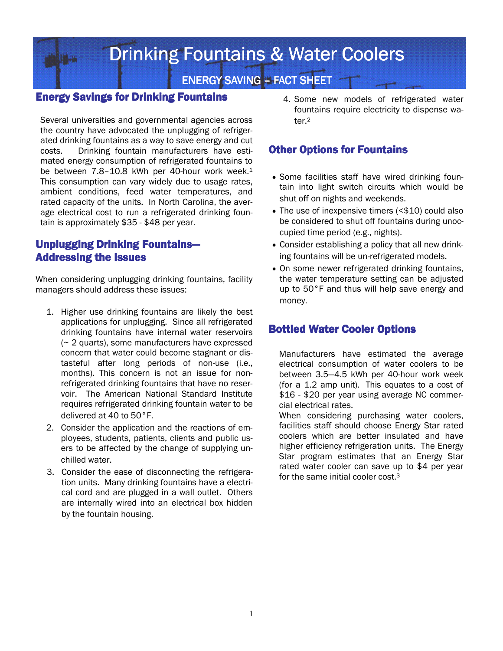# Drinking Fountains & Water Coolers

# ENERGY SAVING – FACT SHEET

#### Energy Savings for Drinking Fountains Energy for Drinking Fountains

Several universities and governmental agencies across the country have advocated the unplugging of refrigerated drinking fountains as a way to save energy and cut costs. Drinking fountain manufacturers have estimated energy consumption of refrigerated fountains to be between 7.8-10.8 kWh per 40-hour work week.<sup>1</sup> This consumption can vary widely due to usage rates, ambient conditions, feed water temperatures, and rated capacity of the units. In North Carolina, the average electrical cost to run a refrigerated drinking fountain is approximately \$35 - \$48 per year.

#### Unplugging Drinking Fountains— **Addressing the Issues**

When considering unplugging drinking fountains, facility managers should address these issues:

- 1. Higher use drinking fountains are likely the best applications for unplugging. Since all refrigerated drinking fountains have internal water reservoirs (~ 2 quarts), some manufacturers have expressed concern that water could become stagnant or distasteful after long periods of non-use (i.e., months). This concern is not an issue for nonrefrigerated drinking fountains that have no reservoir. The American National Standard Institute requires refrigerated drinking fountain water to be delivered at 40 to 50°F.
- 2. Consider the application and the reactions of employees, students, patients, clients and public users to be affected by the change of supplying unchilled water.
- 3. Consider the ease of disconnecting the refrigeration units. Many drinking fountains have a electrical cord and are plugged in a wall outlet. Others are internally wired into an electrical box hidden by the fountain housing.

4. Some new models of refrigerated water fountains require electricity to dispense water.<sup>2</sup>

#### **Other Options for Fountains**

- Some facilities staff have wired drinking fountain into light switch circuits which would be shut off on nights and weekends.
- The use of inexpensive timers (<\$10) could also be considered to shut off fountains during unoccupied time period (e.g., nights).
- Consider establishing a policy that all new drinking fountains will be un-refrigerated models.
- On some newer refrigerated drinking fountains, the water temperature setting can be adjusted up to 50°F and thus will help save energy and money.

# **Bottled Water Cooler Options**

Manufacturers have estimated the average electrical consumption of water coolers to be between 3.5—4.5 kWh per 40-hour work week (for a 1.2 amp unit). This equates to a cost of \$16 - \$20 per year using average NC commercial electrical rates.

When considering purchasing water coolers, facilities staff should choose Energy Star rated coolers which are better insulated and have higher efficiency refrigeration units. The Energy Star program estimates that an Energy Star rated water cooler can save up to \$4 per year for the same initial cooler cost.<sup>3</sup>